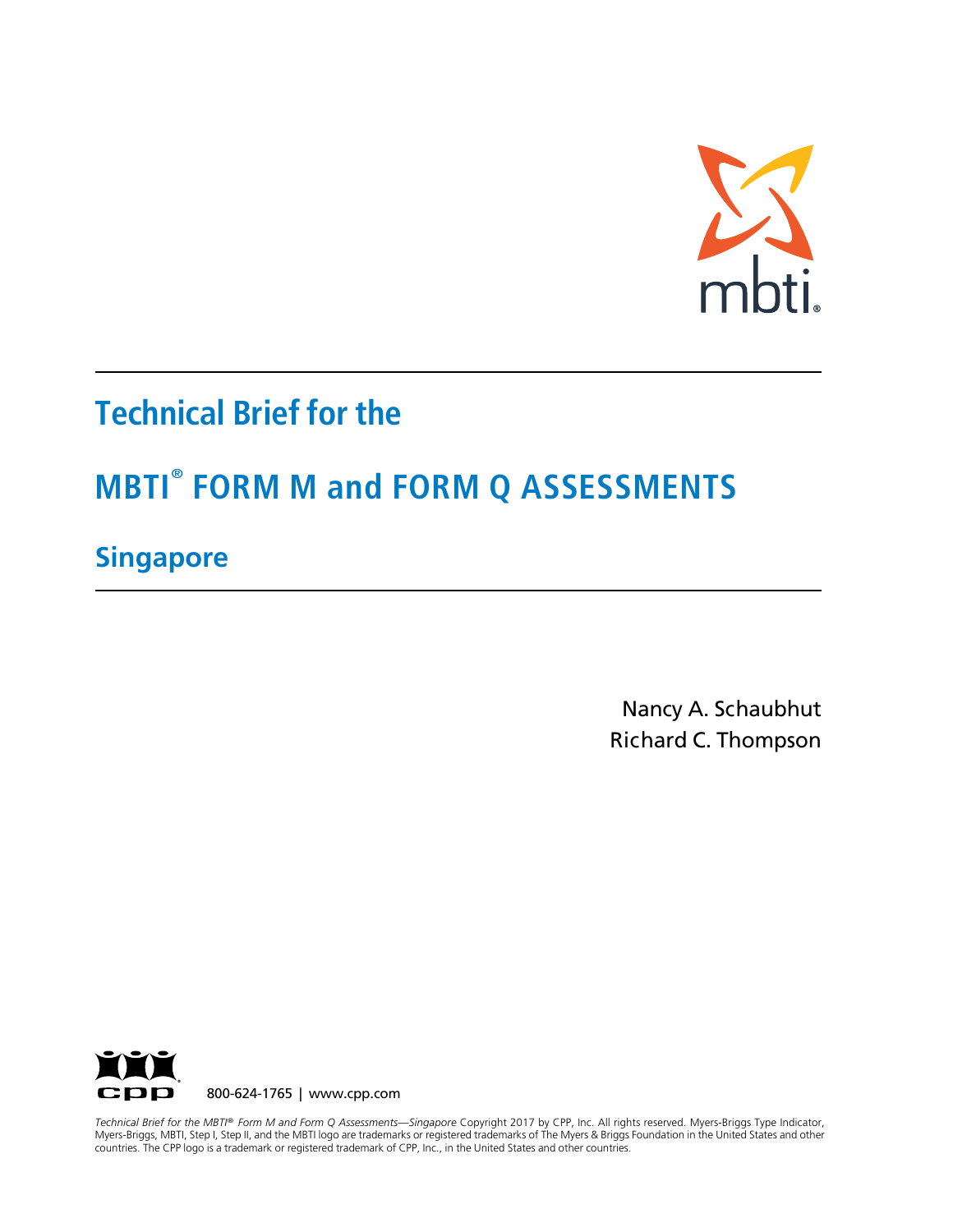

## **Technical Brief for the**

# **MBTI® FORM M and FORM Q ASSESSMENTS**

### **Singapore**

Nancy A. Schaubhut Richard C. Thompson



 Myers-Briggs, MBTI, Step I, Step II, and the MBTI logo are trademarks or registered trademarks of The Myers & Briggs Foundation in the United States and other countries. The CPP logo is a trademark or registered trademark of CPP, Inc., in the United States and other countries. *Technical Brief for the MBTI® Form M and Form Q Assessments—Singapore* Copyright 2017 by CPP, Inc. All rights reserved. Myers-Briggs Type Indicator,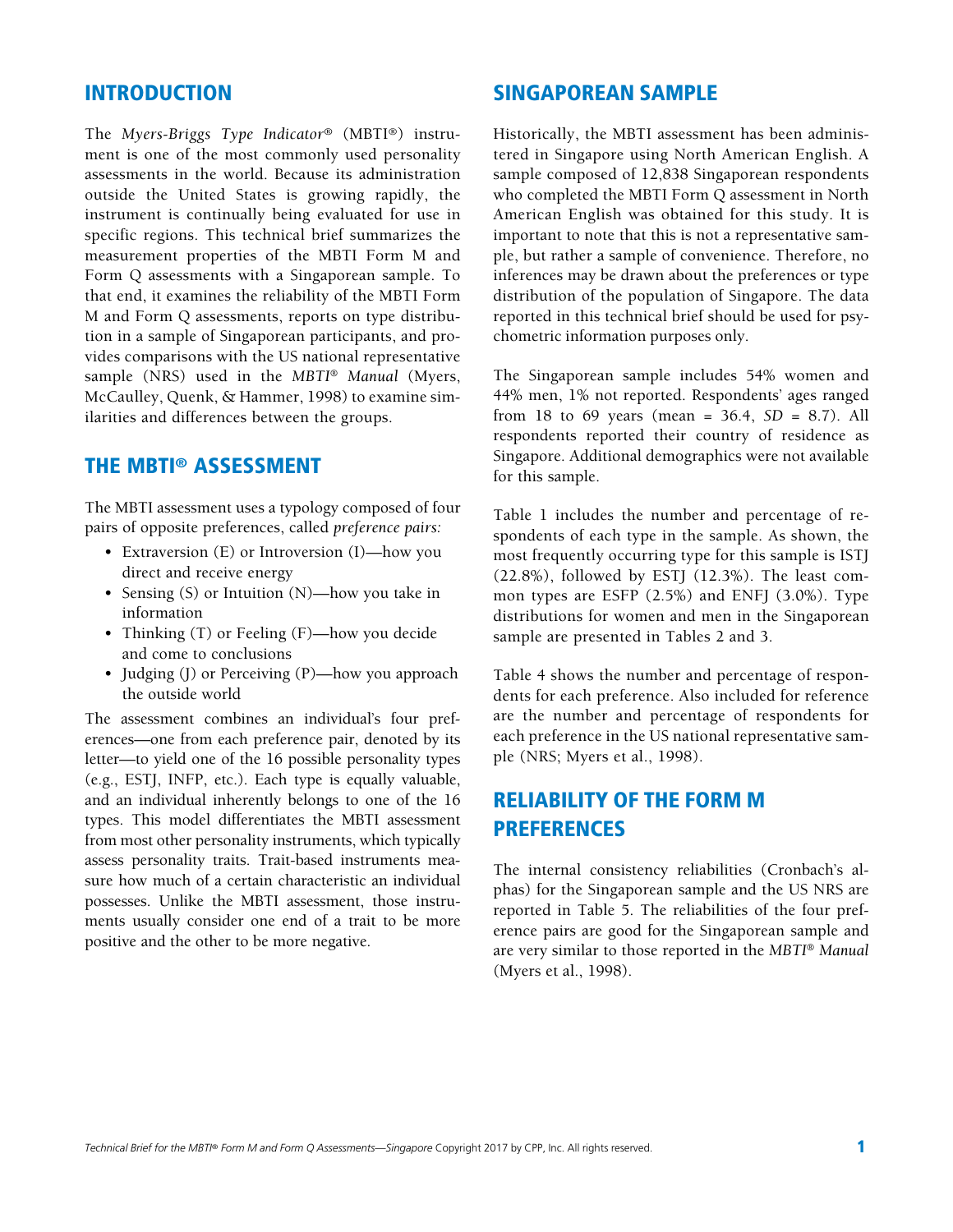#### INTRODUCTION

The *Myers-Briggs Type Indicator®* (MBTI®) instrument is one of the most commonly used personality assessments in the world. Because its administration outside the United States is growing rapidly, the instrument is continually being evaluated for use in specific regions. This technical brief summarizes the measurement properties of the MBTI Form M and Form Q assessments with a Singaporean sample. To that end, it examines the reliability of the MBTI Form M and Form Q assessments, reports on type distribution in a sample of Singaporean participants, and provides comparisons with the US national representative sample (NRS) used in the *MBTI*® *Manual* (Myers, McCaulley, Quenk, & Hammer, 1998) to examine similarities and differences between the groups.

#### THE MBTI® ASSESSMENT

The MBTI assessment uses a typology composed of four pairs of opposite preferences, called *preference pairs:*

- Extraversion (E) or Introversion (I)—how you direct and receive energy
- Sensing (S) or Intuition (N)—how you take in information
- Thinking (T) or Feeling (F)—how you decide and come to conclusions
- Judging (J) or Perceiving (P)—how you approach the outside world

The assessment combines an individual's four preferences—one from each preference pair, denoted by its letter—to yield one of the 16 possible personality types (e.g., ESTJ, INFP, etc.). Each type is equally valuable, and an individual inherently belongs to one of the 16 types. This model differentiates the MBTI assessment from most other personality instruments, which typically assess personality traits. Trait-based instruments measure how much of a certain characteristic an individual possesses. Unlike the MBTI assessment, those instruments usually consider one end of a trait to be more positive and the other to be more negative.

#### SINGAPOREAN SAMPLE

Historically, the MBTI assessment has been administered in Singapore using North American English. A sample composed of 12,838 Singaporean respondents who completed the MBTI Form Q assessment in North American English was obtained for this study. It is important to note that this is not a representative sample, but rather a sample of convenience. Therefore, no inferences may be drawn about the preferences or type distribution of the population of Singapore. The data reported in this technical brief should be used for psychometric information purposes only.

The Singaporean sample includes 54% women and 44% men, 1% not reported. Respondents' ages ranged from 18 to 69 years (mean = 36.4, *SD* = 8.7). All respondents reported their country of residence as Singapore. Additional demographics were not available for this sample.

Table 1 includes the number and percentage of respondents of each type in the sample. As shown, the most frequently occurring type for this sample is ISTJ (22.8%), followed by ESTJ (12.3%). The least common types are ESFP (2.5%) and ENFJ (3.0%). Type distributions for women and men in the Singaporean sample are presented in Tables 2 and 3.

Table 4 shows the number and percentage of respondents for each preference. Also included for reference are the number and percentage of respondents for each preference in the US national representative sample (NRS; Myers et al., 1998).

#### RELIABILITY OF THE FORM M PREFERENCES

The internal consistency reliabilities (Cronbach's alphas) for the Singaporean sample and the US NRS are reported in Table 5. The reliabilities of the four preference pairs are good for the Singaporean sample and are very similar to those reported in the *MBTI*® *Manual*  (Myers et al., 1998).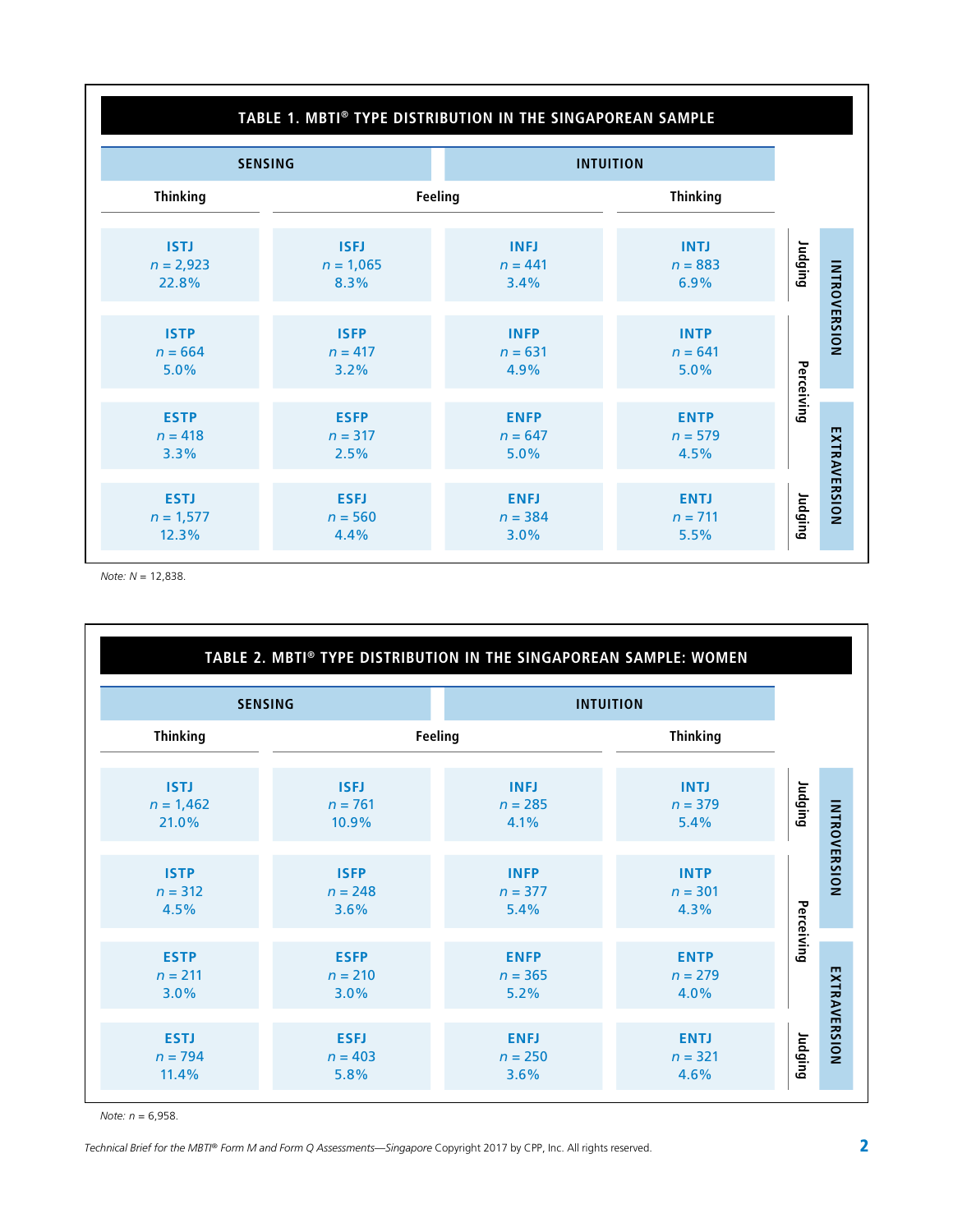#### **TABLE 1. MBTI® TYPE DISTRIBUTION IN THE SINGAPOREAN SAMPLE SENSING INTUITION Thinking Feeling Thinking Judging ISTJ ISFJ INFJ INTJ** *n* = 2,923 *n* = 1,065 *n* = 441 *n* = 883 **INTROVERSION INTROVERSION** 22.8% 8.3% 3.4% 6.9% **ISTP ISFP INFP INTP** *n* = 664 *n* = 641 *n* = 417 *n* = 631 **Perceiving** 5.0% 3.2% 4.9% 5.0% **ESTP ESFP ENFP ENTP** EXTRAVERSION *n* = 418 *n* = 317 *n* = 647 *n* = 579 **EXTRAVERSION** 3.3% 2.5% 5.0% 4.5% **Judging ENFJ ENTJ ESTJ ESFJ** *n* = 1,577 *n* = 560 *n* = 384 *n* = 711 12.3% 4.4% 3.0% 5.5%

*Note: N* = 12,838.

|                 |             | TABLE 2. MBTI® TYPE DISTRIBUTION IN THE SINGAPOREAN SAMPLE: WOMEN |                 |            |  |
|-----------------|-------------|-------------------------------------------------------------------|-----------------|------------|--|
| <b>SENSING</b>  |             | <b>INTUITION</b>                                                  |                 |            |  |
| <b>Thinking</b> | Feeling     |                                                                   | <b>Thinking</b> |            |  |
| <b>ISTJ</b>     | <b>ISFJ</b> | <b>INFJ</b>                                                       | <b>INTJ</b>     | Judging    |  |
| $n = 1,462$     | $n = 761$   | $n = 285$                                                         | $n = 379$       |            |  |
| 21.0%           | 10.9%       | 4.1%                                                              | 5.4%            |            |  |
| <b>ISTP</b>     | <b>ISFP</b> | <b>INFP</b>                                                       | <b>INTP</b>     |            |  |
| $n = 312$       | $n = 248$   | $n = 377$                                                         | $n = 301$       |            |  |
| 4.5%            | 3.6%        | 5.4%                                                              | 4.3%            |            |  |
| <b>ESTP</b>     | <b>ESFP</b> | <b>ENFP</b>                                                       | <b>ENTP</b>     | Perceiving |  |
| $n = 211$       | $n = 210$   | $n = 365$                                                         | $n = 279$       |            |  |
| 3.0%            | 3.0%        | 5.2%                                                              | 4.0%            |            |  |
| <b>ESTJ</b>     | <b>ESFJ</b> | <b>ENFJ</b>                                                       | <b>ENTJ</b>     | Judging    |  |
| $n = 794$       | $n = 403$   | $n = 250$                                                         | $n = 321$       |            |  |
| 11.4%           | 5.8%        | 3.6%                                                              | 4.6%            |            |  |

*Note: n* = 6,958.

*Technical Brief for the MBTI® Form M and Form Q Assessments—Singapore Copyright 2017 by CPP, Inc. All rights reserved.*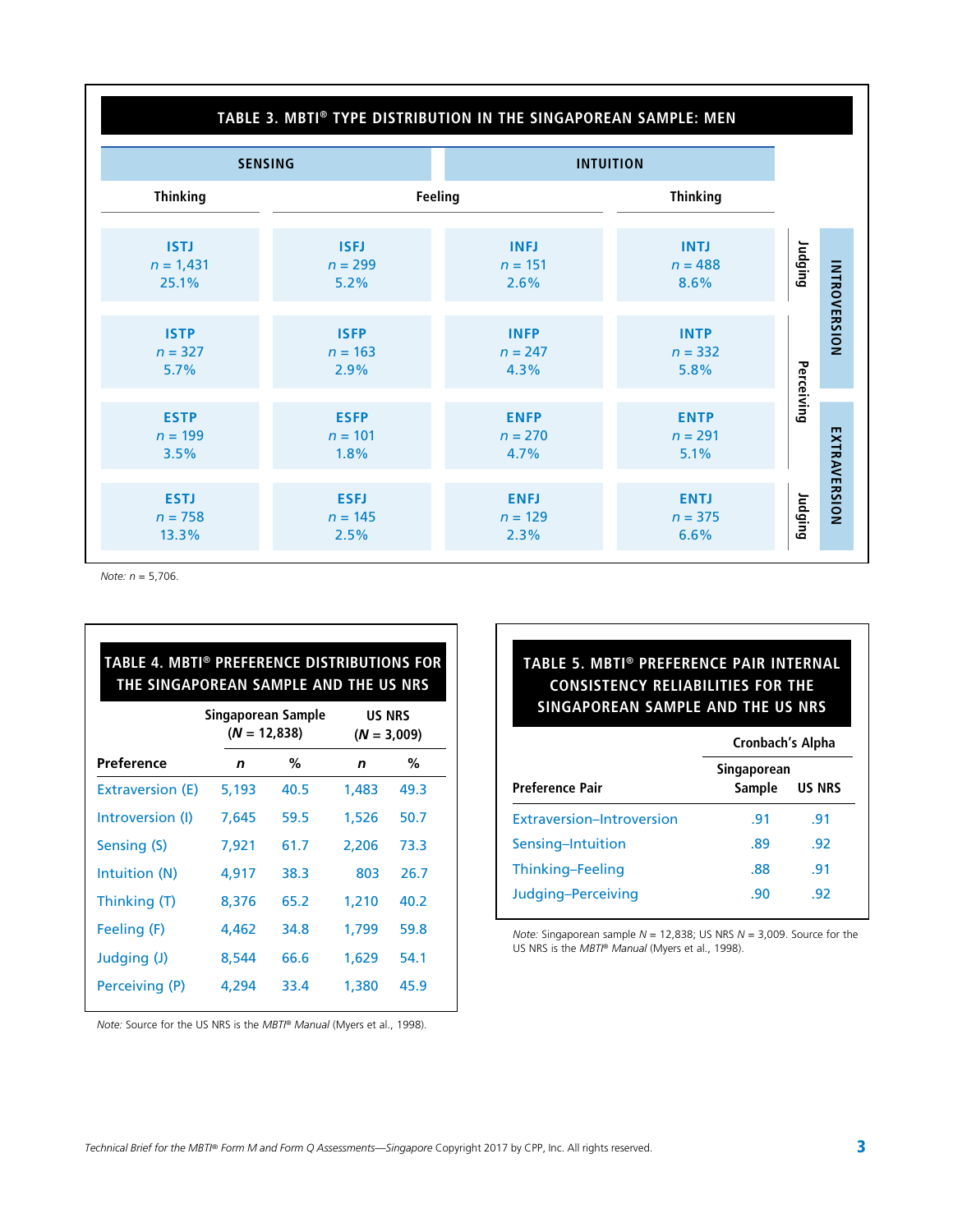#### **TABLE 3. MBTI® TYPE DISTRIBUTION IN THE SINGAPOREAN SAMPLE: MEN**

| <b>SENSING</b>                      |                                  | <b>INTUITION</b>                 |                                  |            |                     |
|-------------------------------------|----------------------------------|----------------------------------|----------------------------------|------------|---------------------|
| <b>Thinking</b>                     |                                  | Feeling                          | <b>Thinking</b>                  |            |                     |
| <b>ISTJ</b><br>$n = 1,431$<br>25.1% | <b>ISFJ</b><br>$n = 299$<br>5.2% | <b>INFJ</b><br>$n = 151$<br>2.6% | <b>INTJ</b><br>$n = 488$<br>8.6% | Judging    |                     |
| <b>ISTP</b><br>$n = 327$<br>5.7%    | <b>ISFP</b><br>$n = 163$<br>2.9% | <b>INFP</b><br>$n = 247$<br>4.3% | <b>INTP</b><br>$n = 332$<br>5.8% |            | <b>INTROVERSION</b> |
| <b>ESTP</b><br>$n = 199$<br>3.5%    | <b>ESFP</b><br>$n = 101$<br>1.8% | <b>ENFP</b><br>$n = 270$<br>4.7% | <b>ENTP</b><br>$n = 291$<br>5.1% | Perceiving |                     |
| <b>ESTJ</b><br>$n = 758$<br>13.3%   | <b>ESFJ</b><br>$n = 145$<br>2.5% | <b>ENFJ</b><br>$n = 129$<br>2.3% | <b>ENTJ</b><br>$n = 375$<br>6.6% | Judging    | EXTRAVERSION        |

*Note: n* = 5,706.

| TABLE 4. MBTI® PREFERENCE DISTRIBUTIONS FOR<br>THE SINGAPOREAN SAMPLE AND THE US NRS |                                      |      |                                |      |  |  |  |  |
|--------------------------------------------------------------------------------------|--------------------------------------|------|--------------------------------|------|--|--|--|--|
|                                                                                      | Singaporean Sample<br>$(N = 12,838)$ |      | <b>US NRS</b><br>$(N = 3,009)$ |      |  |  |  |  |
| Preference                                                                           | n                                    | ℅    | n                              | ℅    |  |  |  |  |
| Extraversion (E)                                                                     | 5,193                                | 40.5 | 1,483                          | 49.3 |  |  |  |  |
| Introversion (I)                                                                     | 7,645                                | 59.5 | 1,526                          | 50.7 |  |  |  |  |
| Sensing (S)                                                                          | 7,921                                | 61.7 | 2,206                          | 73.3 |  |  |  |  |
| Intuition (N)                                                                        | 4,917                                | 38.3 | 803                            | 26.7 |  |  |  |  |
| Thinking (T)                                                                         | 8,376                                | 65.2 | 1,210                          | 40.2 |  |  |  |  |
| Feeling (F)                                                                          | 4,462                                | 34.8 | 1,799                          | 59.8 |  |  |  |  |
| Judging (J)                                                                          | 8,544                                | 66.6 | 1,629                          | 54.1 |  |  |  |  |
| Perceiving (P)                                                                       | 4,294                                | 33.4 | 1,380                          | 45.9 |  |  |  |  |

#### **TABLE 5. MBTI® PREFERENCE PAIR INTERNAL CONSISTENCY RELIABILITIES FOR THE SINGAPOREAN SAMPLE AND THE US NRS**

|                           | Cronbach's Alpha      |               |  |  |
|---------------------------|-----------------------|---------------|--|--|
| <b>Preference Pair</b>    | Singaporean<br>Sample | <b>US NRS</b> |  |  |
| Extraversion-Introversion | .91                   | .91           |  |  |
| Sensing-Intuition         | .89                   | -92           |  |  |
| Thinking-Feeling          | .88                   | .91           |  |  |
| Judging-Perceiving        | .90                   | .92           |  |  |

*Note:* Singaporean sample *N* = 12,838; US NRS *N* = 3,009. Source for the US NRS is the *MBTI® Manual* (Myers et al., 1998).

*Note:* Source for the US NRS is the *MBTI® Manual* (Myers et al., 1998).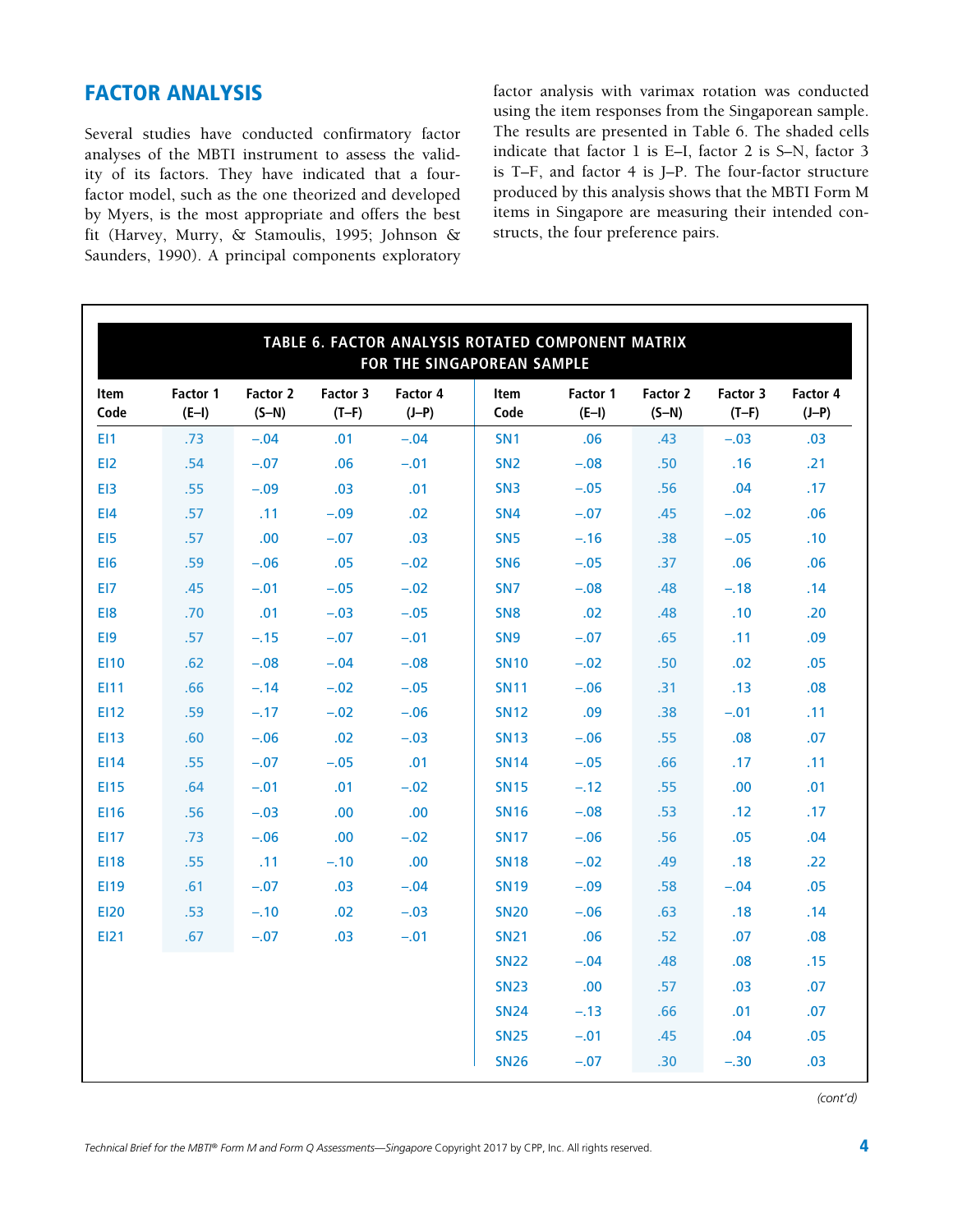#### FACTOR ANALYSIS

Several studies have conducted confirmatory factor analyses of the MBTI instrument to assess the validity of its factors. They have indicated that a fourfactor model, such as the one theorized and developed by Myers, is the most appropriate and offers the best fit (Harvey, Murry, & Stamoulis, 1995; Johnson & Saunders, 1990). A principal components exploratory factor analysis with varimax rotation was conducted using the item responses from the Singaporean sample. The results are presented in Table 6. The shaded cells indicate that factor 1 is E–I, factor 2 is S–N, factor 3 is T–F, and factor 4 is J–P. The four-factor structure produced by this analysis shows that the MBTI Form M items in Singapore are measuring their intended constructs, the four preference pairs.

| TABLE 6. FACTOR ANALYSIS ROTATED COMPONENT MATRIX<br>FOR THE SINGAPOREAN SAMPLE |                     |                     |                     |                     |                     |                     |                     |                     |                     |
|---------------------------------------------------------------------------------|---------------------|---------------------|---------------------|---------------------|---------------------|---------------------|---------------------|---------------------|---------------------|
| Item<br>Code                                                                    | Factor 1<br>$(E-I)$ | Factor 2<br>$(S-N)$ | Factor 3<br>$(T-F)$ | Factor 4<br>$(J-P)$ | <b>Item</b><br>Code | Factor 1<br>$(E-I)$ | Factor 2<br>$(S-N)$ | Factor 3<br>$(T-F)$ | Factor 4<br>$(J-P)$ |
| EI1                                                                             | .73                 | $-.04$              | .01                 | $-.04$              | SN <sub>1</sub>     | .06                 | .43                 | $-.03$              | .03                 |
| E12                                                                             | .54                 | $-.07$              | .06                 | $-.01$              | SN <sub>2</sub>     | $-.08$              | .50                 | .16                 | .21                 |
| EI3                                                                             | .55                 | $-.09$              | .03                 | .01                 | SN <sub>3</sub>     | $-.05$              | .56                 | .04                 | .17                 |
| E <sub>14</sub>                                                                 | .57                 | .11                 | $-.09$              | .02                 | SN <sub>4</sub>     | $-.07$              | .45                 | $-.02$              | .06                 |
| E <sub>15</sub>                                                                 | .57                 | .00                 | $-.07$              | .03                 | SN <sub>5</sub>     | $-.16$              | .38                 | $-.05$              | .10                 |
| EI <sub>6</sub>                                                                 | .59                 | $-.06$              | .05                 | $-.02$              | SN <sub>6</sub>     | $-.05$              | .37                 | .06                 | .06                 |
| EI7                                                                             | .45                 | $-.01$              | $-.05$              | $-.02$              | SN <sub>7</sub>     | $-.08$              | .48                 | $-.18$              | .14                 |
| E <sub>18</sub>                                                                 | .70                 | .01                 | $-.03$              | $-.05$              | SN <sub>8</sub>     | .02                 | .48                 | .10                 | .20                 |
| EI9                                                                             | .57                 | $-.15$              | $-.07$              | $-.01$              | SN <sub>9</sub>     | $-.07$              | .65                 | .11                 | .09                 |
| E110                                                                            | .62                 | $-.08$              | $-.04$              | $-.08$              | <b>SN10</b>         | $-.02$              | .50                 | .02                 | .05                 |
| E111                                                                            | .66                 | $-.14$              | $-.02$              | $-.05$              | <b>SN11</b>         | $-.06$              | .31                 | .13                 | .08                 |
| EI12                                                                            | .59                 | $-.17$              | $-.02$              | $-.06$              | <b>SN12</b>         | .09                 | .38                 | $-.01$              | .11                 |
| <b>EI13</b>                                                                     | .60                 | $-.06$              | .02                 | $-.03$              | <b>SN13</b>         | $-.06$              | .55                 | .08                 | .07                 |
| EI14                                                                            | .55                 | $-.07$              | $-.05$              | .01                 | <b>SN14</b>         | $-.05$              | .66                 | .17                 | .11                 |
| <b>EI15</b>                                                                     | .64                 | $-.01$              | .01                 | $-.02$              | <b>SN15</b>         | $-.12$              | .55                 | .00.                | .01                 |
| <b>EI16</b>                                                                     | .56                 | $-.03$              | .00                 | .00                 | <b>SN16</b>         | $-.08$              | .53                 | .12                 | .17                 |
| <b>EI17</b>                                                                     | .73                 | $-.06$              | .00                 | $-.02$              | <b>SN17</b>         | $-.06$              | .56                 | .05                 | .04                 |
| <b>EI18</b>                                                                     | .55                 | .11                 | $-.10$              | .00                 | <b>SN18</b>         | $-.02$              | .49                 | .18                 | .22                 |
| E119                                                                            | .61                 | $-.07$              | .03                 | $-.04$              | <b>SN19</b>         | $-.09$              | .58                 | $-.04$              | .05                 |
| <b>EI20</b>                                                                     | .53                 | $-.10$              | .02                 | $-.03$              | <b>SN20</b>         | $-.06$              | .63                 | .18                 | .14                 |
| EI21                                                                            | .67                 | $-.07$              | .03                 | $-.01$              | <b>SN21</b>         | .06                 | .52                 | .07                 | .08                 |
|                                                                                 |                     |                     |                     |                     | <b>SN22</b>         | $-.04$              | .48                 | .08                 | .15                 |
|                                                                                 |                     |                     |                     |                     | <b>SN23</b>         | .00                 | .57                 | .03                 | .07                 |
|                                                                                 |                     |                     |                     |                     | <b>SN24</b>         | $-.13$              | .66                 | .01                 | .07                 |
|                                                                                 |                     |                     |                     |                     | <b>SN25</b>         | $-.01$              | .45                 | .04                 | .05                 |
|                                                                                 |                     |                     |                     |                     | <b>SN26</b>         | $-.07$              | .30                 | $-.30$              | .03                 |

*(cont'd)*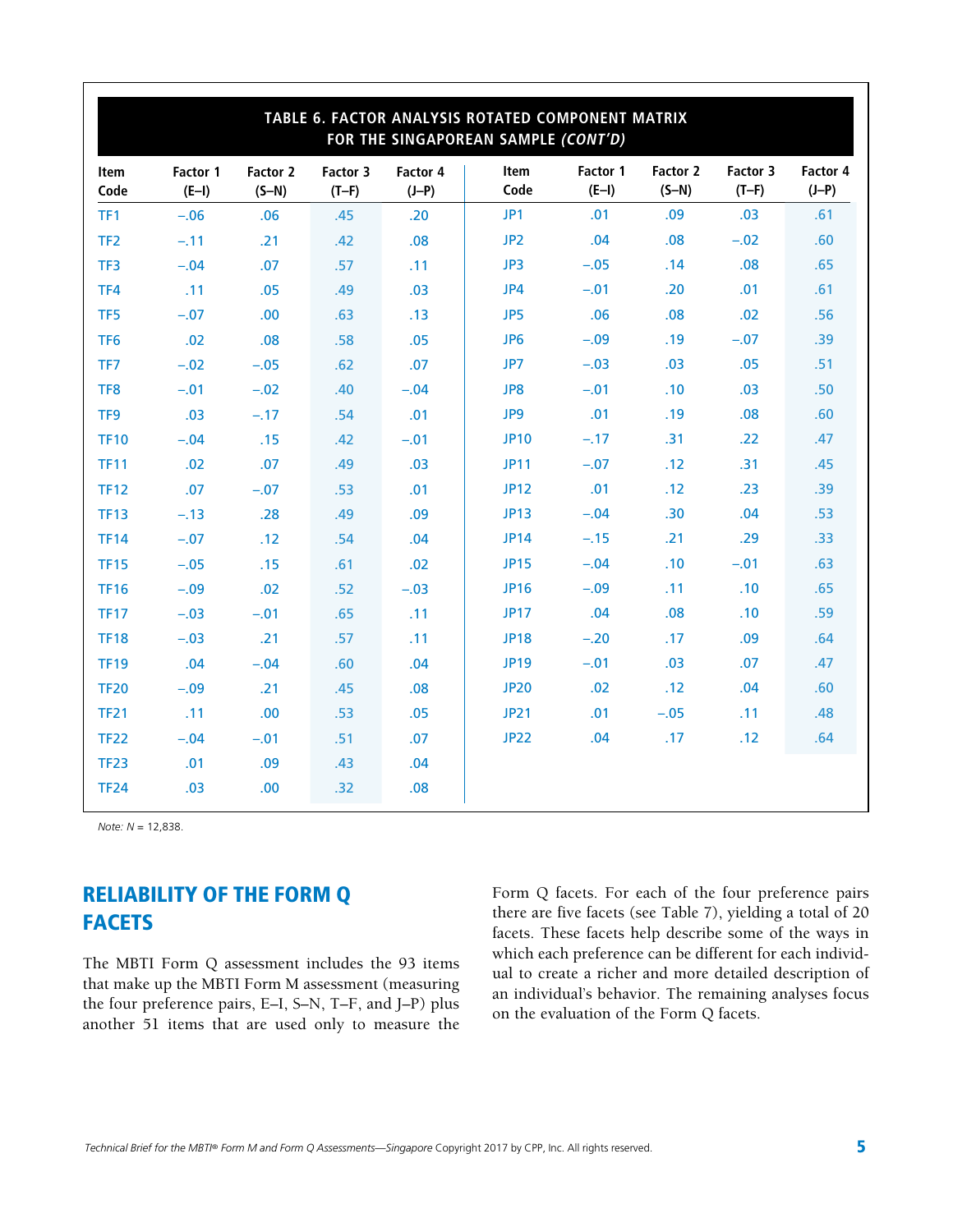| TABLE 6. FACTOR ANALYSIS ROTATED COMPONENT MATRIX<br>FOR THE SINGAPOREAN SAMPLE (CONT'D) |                     |                     |                     |                     |                     |                     |                     |                     |                     |
|------------------------------------------------------------------------------------------|---------------------|---------------------|---------------------|---------------------|---------------------|---------------------|---------------------|---------------------|---------------------|
| Item<br>Code                                                                             | Factor 1<br>$(E-I)$ | Factor 2<br>$(S-N)$ | Factor 3<br>$(T-F)$ | Factor 4<br>$(J-P)$ | <b>Item</b><br>Code | Factor 1<br>$(E-I)$ | Factor 2<br>$(S-N)$ | Factor 3<br>$(T-F)$ | Factor 4<br>$(J-P)$ |
| TF1                                                                                      | $-.06$              | .06                 | .45                 | .20                 | JP1                 | .01                 | .09                 | .03                 | .61                 |
| TF <sub>2</sub>                                                                          | $-.11$              | .21                 | .42                 | .08                 | JP <sub>2</sub>     | .04                 | .08                 | $-.02$              | .60                 |
| TF3                                                                                      | $-.04$              | .07                 | .57                 | .11                 | JP3                 | $-.05$              | .14                 | .08                 | .65                 |
| TF4                                                                                      | .11                 | .05                 | .49                 | .03                 | JP4                 | $-.01$              | .20                 | .01                 | .61                 |
| TF <sub>5</sub>                                                                          | $-.07$              | .00                 | .63                 | .13                 | JP5                 | .06                 | .08                 | .02                 | .56                 |
| TF <sub>6</sub>                                                                          | .02                 | .08                 | .58                 | .05                 | JP <sub>6</sub>     | $-.09$              | .19                 | $-.07$              | .39                 |
| TF7                                                                                      | $-.02$              | $-.05$              | .62                 | .07                 | JP7                 | $-.03$              | .03                 | .05                 | .51                 |
| TF8                                                                                      | $-.01$              | $-.02$              | .40                 | $-.04$              | JP8                 | $-.01$              | .10                 | .03                 | .50                 |
| TF <sub>9</sub>                                                                          | .03                 | $-.17$              | .54                 | .01                 | JP9                 | .01                 | .19                 | .08                 | .60                 |
| <b>TF10</b>                                                                              | $-.04$              | .15                 | .42                 | $-.01$              | <b>JP10</b>         | $-.17$              | .31                 | .22                 | .47                 |
| <b>TF11</b>                                                                              | .02                 | .07                 | .49                 | .03                 | <b>JP11</b>         | $-.07$              | .12                 | .31                 | .45                 |
| <b>TF12</b>                                                                              | .07                 | $-.07$              | .53                 | .01                 | <b>JP12</b>         | .01                 | .12                 | .23                 | .39                 |
| <b>TF13</b>                                                                              | $-.13$              | .28                 | .49                 | .09                 | <b>JP13</b>         | $-.04$              | .30                 | .04                 | .53                 |
| <b>TF14</b>                                                                              | $-.07$              | .12                 | .54                 | .04                 | <b>JP14</b>         | $-.15$              | .21                 | .29                 | .33                 |
| <b>TF15</b>                                                                              | $-.05$              | .15                 | .61                 | .02                 | <b>JP15</b>         | $-.04$              | .10                 | $-.01$              | .63                 |
| <b>TF16</b>                                                                              | $-.09$              | .02                 | .52                 | $-.03$              | <b>JP16</b>         | $-.09$              | .11                 | .10                 | .65                 |
| <b>TF17</b>                                                                              | $-.03$              | $-.01$              | .65                 | .11                 | <b>JP17</b>         | .04                 | .08                 | .10                 | .59                 |
| <b>TF18</b>                                                                              | $-.03$              | .21                 | .57                 | .11                 | <b>JP18</b>         | $-.20$              | .17                 | .09                 | .64                 |
| <b>TF19</b>                                                                              | .04                 | $-.04$              | .60                 | .04                 | <b>JP19</b>         | $-.01$              | .03                 | .07                 | .47                 |
| <b>TF20</b>                                                                              | $-.09$              | .21                 | .45                 | .08                 | <b>JP20</b>         | .02                 | .12                 | .04                 | .60                 |
| <b>TF21</b>                                                                              | .11                 | .00                 | .53                 | .05                 | <b>JP21</b>         | .01                 | $-.05$              | .11                 | .48                 |
| <b>TF22</b>                                                                              | $-.04$              | $-.01$              | .51                 | .07                 | <b>JP22</b>         | .04                 | .17                 | .12                 | .64                 |
| <b>TF23</b>                                                                              | .01                 | .09                 | .43                 | .04                 |                     |                     |                     |                     |                     |
| <b>TF24</b>                                                                              | .03                 | .00                 | .32                 | .08                 |                     |                     |                     |                     |                     |

*Note: N* = 12,838.

### RELIABILITY OF THE FORM Q FACETS

The MBTI Form Q assessment includes the 93 items that make up the MBTI Form M assessment (measuring the four preference pairs, E–I, S–N, T–F, and J–P) plus another 51 items that are used only to measure the Form Q facets. For each of the four preference pairs there are five facets (see Table 7), yielding a total of 20 facets. These facets help describe some of the ways in which each preference can be different for each individual to create a richer and more detailed description of an individual's behavior. The remaining analyses focus on the evaluation of the Form Q facets.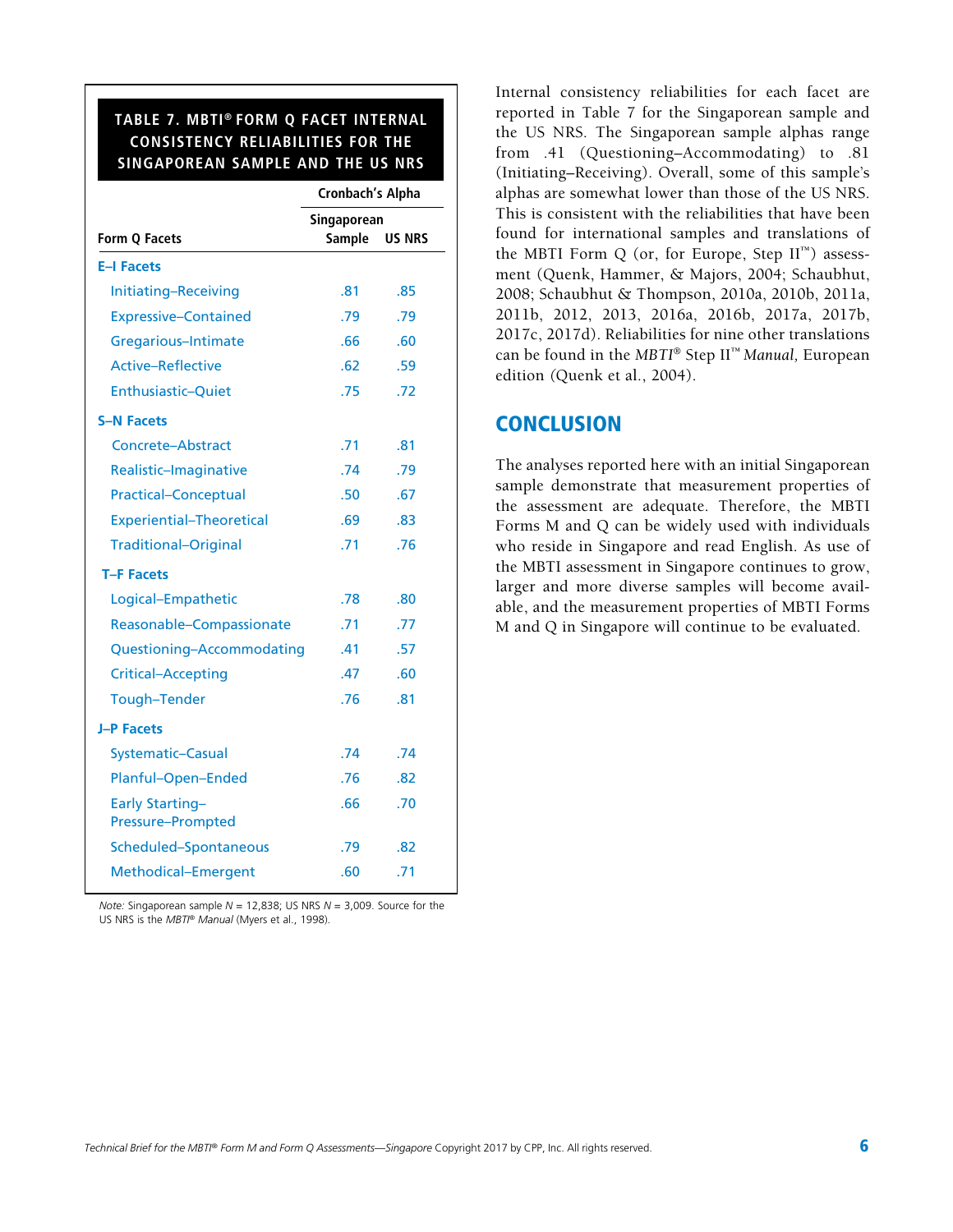#### **TABLE 7. MBTI® FORM Q FACET INTERNAL CONSISTENCY RELIABILITIES FOR THE SINGAPOREAN SAMPLE AND THE US NRS**

|                                             | <b>Cronbach's Alpha</b> |               |  |  |  |
|---------------------------------------------|-------------------------|---------------|--|--|--|
|                                             | Singaporean             |               |  |  |  |
| Form Q Facets                               | <b>Sample</b>           | <b>US NRS</b> |  |  |  |
| <b>E-I Facets</b>                           |                         |               |  |  |  |
| Initiating-Receiving                        | 81                      | .85           |  |  |  |
| <b>Expressive-Contained</b>                 | .79                     | .79           |  |  |  |
| Gregarious-Intimate                         | .66                     | .60           |  |  |  |
| <b>Active-Reflective</b>                    | .62                     | .59           |  |  |  |
| <b>Enthusiastic-Quiet</b>                   | .75                     | .72           |  |  |  |
| <b>S-N Facets</b>                           |                         |               |  |  |  |
| Concrete-Abstract                           | .71                     | .81           |  |  |  |
| Realistic-Imaginative                       | 74                      | .79           |  |  |  |
| <b>Practical-Conceptual</b>                 | .50                     | .67           |  |  |  |
| <b>Experiential-Theoretical</b>             | .69                     | .83           |  |  |  |
| <b>Traditional-Original</b>                 | .71                     | .76           |  |  |  |
| <b>T-F Facets</b>                           |                         |               |  |  |  |
| Logical-Empathetic                          | .78                     | .80           |  |  |  |
| Reasonable-Compassionate                    | .71                     | .77           |  |  |  |
| Questioning-Accommodating                   | .41                     | .57           |  |  |  |
| <b>Critical-Accepting</b>                   | .47                     | .60           |  |  |  |
| <b>Tough-Tender</b>                         | .76                     | .81           |  |  |  |
| <b>J-P Facets</b>                           |                         |               |  |  |  |
| <b>Systematic-Casual</b>                    | .74                     | .74           |  |  |  |
| Planful-Open-Ended                          | .76                     | .82           |  |  |  |
| <b>Early Starting-</b><br>Pressure-Prompted | .66                     | .70           |  |  |  |
| Scheduled-Spontaneous                       | .79                     | .82           |  |  |  |
| Methodical-Emergent                         | .60                     | .71           |  |  |  |

*Note:* Singaporean sample *N* = 12,838; US NRS *N* = 3,009. Source for the US NRS is the *MBTI® Manual* (Myers et al., 1998).

Internal consistency reliabilities for each facet are reported in Table 7 for the Singaporean sample and the US NRS. The Singaporean sample alphas range from .41 (Questioning–Accommodating) to .81 (Initiating–Receiving). Overall, some of this sample's alphas are somewhat lower than those of the US NRS. This is consistent with the reliabilities that have been found for international samples and translations of the MBTI Form Q (or, for Europe, Step  $II^{\mathbb{N}}$ ) assessment (Quenk, Hammer, & Majors, 2004; Schaubhut, 2008; Schaubhut & Thompson, 2010a, 2010b, 2011a, 2011b, 2012, 2013, 2016a, 2016b, 2017a, 2017b, 2017c, 2017d). Reliabilities for nine other translations can be found in the *MBTI*® Step II™ *Manual,* European edition *(*Quenk et al., 2004).

#### **CONCLUSION**

The analyses reported here with an initial Singaporean sample demonstrate that measurement properties of the assessment are adequate. Therefore, the MBTI Forms M and Q can be widely used with individuals who reside in Singapore and read English. As use of the MBTI assessment in Singapore continues to grow, larger and more diverse samples will become available, and the measurement properties of MBTI Forms M and Q in Singapore will continue to be evaluated.